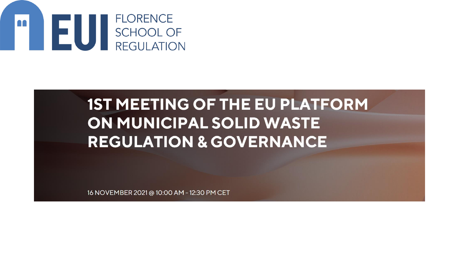

### **1ST MEETING OF THE EU PLATFORM** ON MUNICIPAL SOLID WASTE **REGULATION & GOVERNANCE**

16 NOVEMBER 2021 @ 10:00 AM - 12:30 PM CET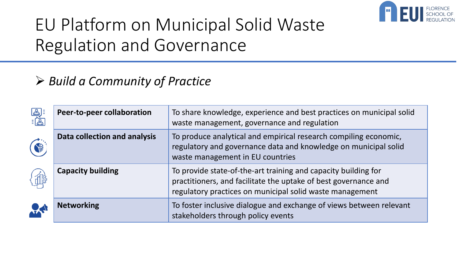

## EU Platform on Municipal Solid Waste Regulation and Governance

### ➢ *Build a Community of Practice*

|    | <b>Peer-to-peer collaboration</b> | To share knowledge, experience and best practices on municipal solid<br>waste management, governance and regulation                                                                           |
|----|-----------------------------------|-----------------------------------------------------------------------------------------------------------------------------------------------------------------------------------------------|
|    | Data collection and analysis      | To produce analytical and empirical research compiling economic,<br>regulatory and governance data and knowledge on municipal solid<br>waste management in EU countries                       |
|    | <b>Capacity building</b>          | To provide state-of-the-art training and capacity building for<br>practitioners, and facilitate the uptake of best governance and<br>regulatory practices on municipal solid waste management |
| RA | <b>Networking</b>                 | To foster inclusive dialogue and exchange of views between relevant<br>stakeholders through policy events                                                                                     |